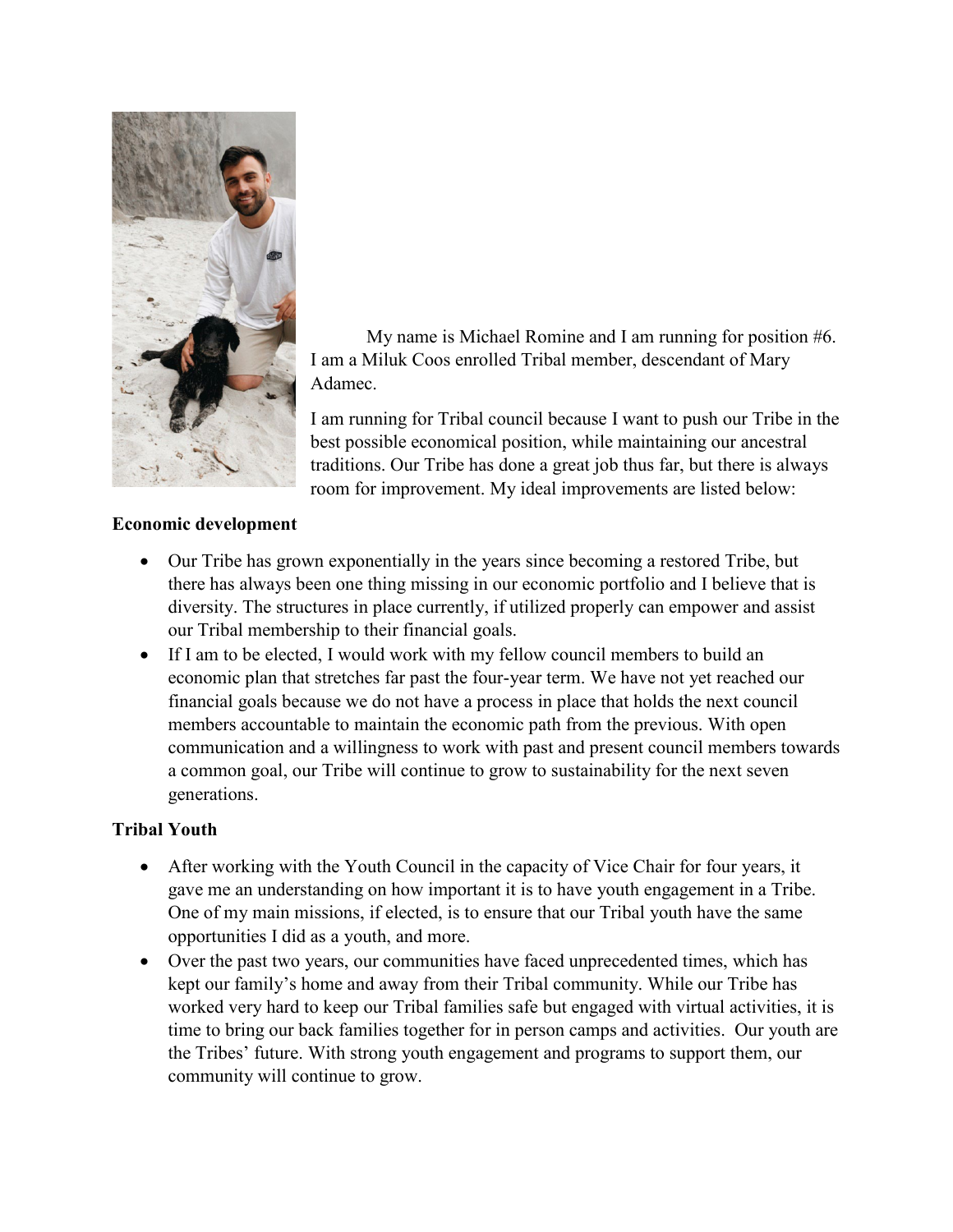

My name is Michael Romine and I am running for position #6. I am a Miluk Coos enrolled Tribal member, descendant of Mary Adamec.

I am running for Tribal council because I want to push our Tribe in the best possible economical position, while maintaining our ancestral traditions. Our Tribe has done a great job thus far, but there is always room for improvement. My ideal improvements are listed below:

## **Economic development**

- Our Tribe has grown exponentially in the years since becoming a restored Tribe, but there has always been one thing missing in our economic portfolio and I believe that is diversity. The structures in place currently, if utilized properly can empower and assist our Tribal membership to their financial goals.
- If I am to be elected, I would work with my fellow council members to build an economic plan that stretches far past the four-year term. We have not yet reached our financial goals because we do not have a process in place that holds the next council members accountable to maintain the economic path from the previous. With open communication and a willingness to work with past and present council members towards a common goal, our Tribe will continue to grow to sustainability for the next seven generations.

## **Tribal Youth**

- After working with the Youth Council in the capacity of Vice Chair for four years, it gave me an understanding on how important it is to have youth engagement in a Tribe. One of my main missions, if elected, is to ensure that our Tribal youth have the same opportunities I did as a youth, and more.
- Over the past two years, our communities have faced unprecedented times, which has kept our family's home and away from their Tribal community. While our Tribe has worked very hard to keep our Tribal families safe but engaged with virtual activities, it is time to bring our back families together for in person camps and activities. Our youth are the Tribes' future. With strong youth engagement and programs to support them, our community will continue to grow.